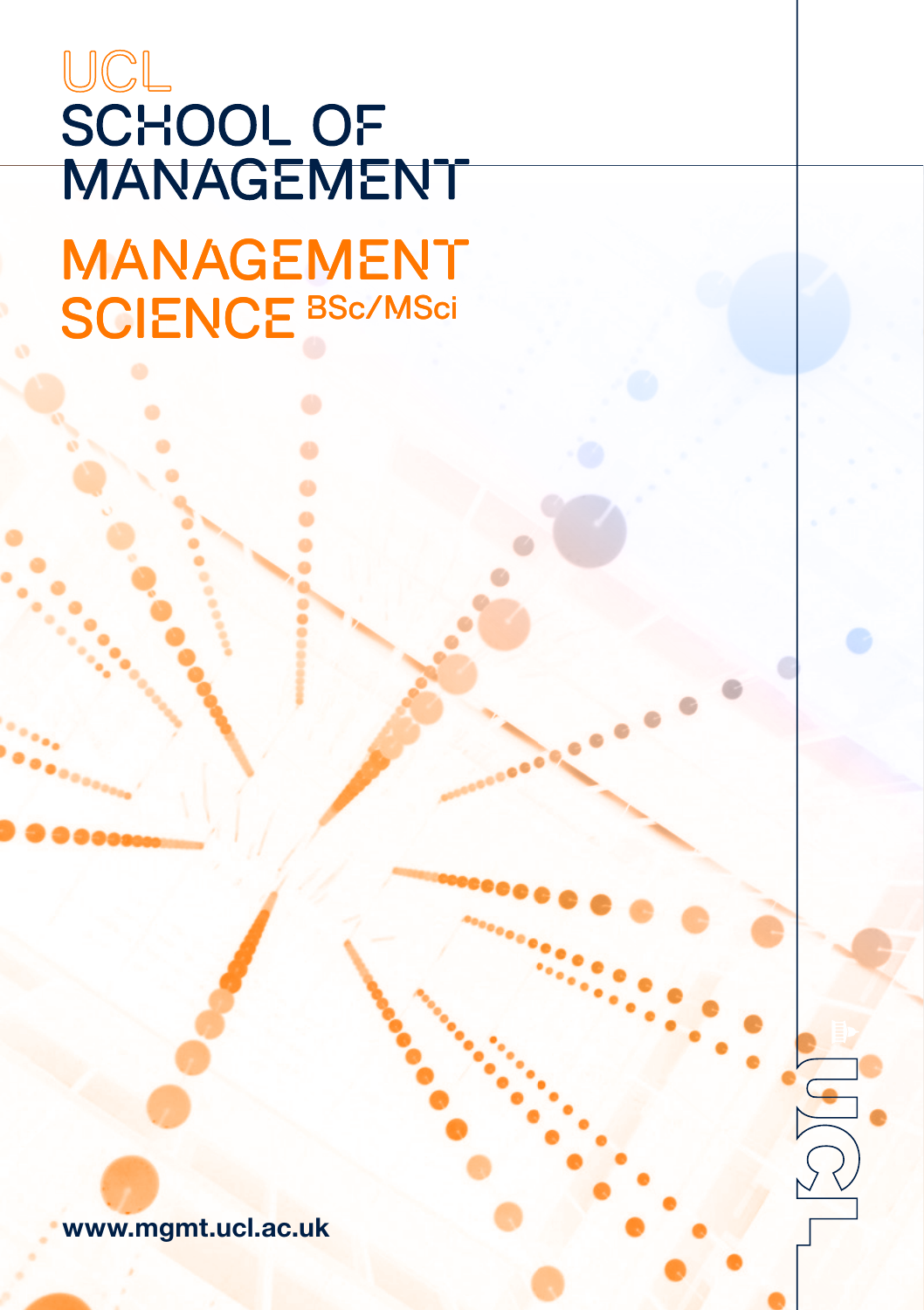# UCL **SCHOOL OF MANAGEMENT**

**MANAGEMENT** SCIENCE BSc/MSci

www.mgmt.ucl.ac.uk

 $\bigoplus$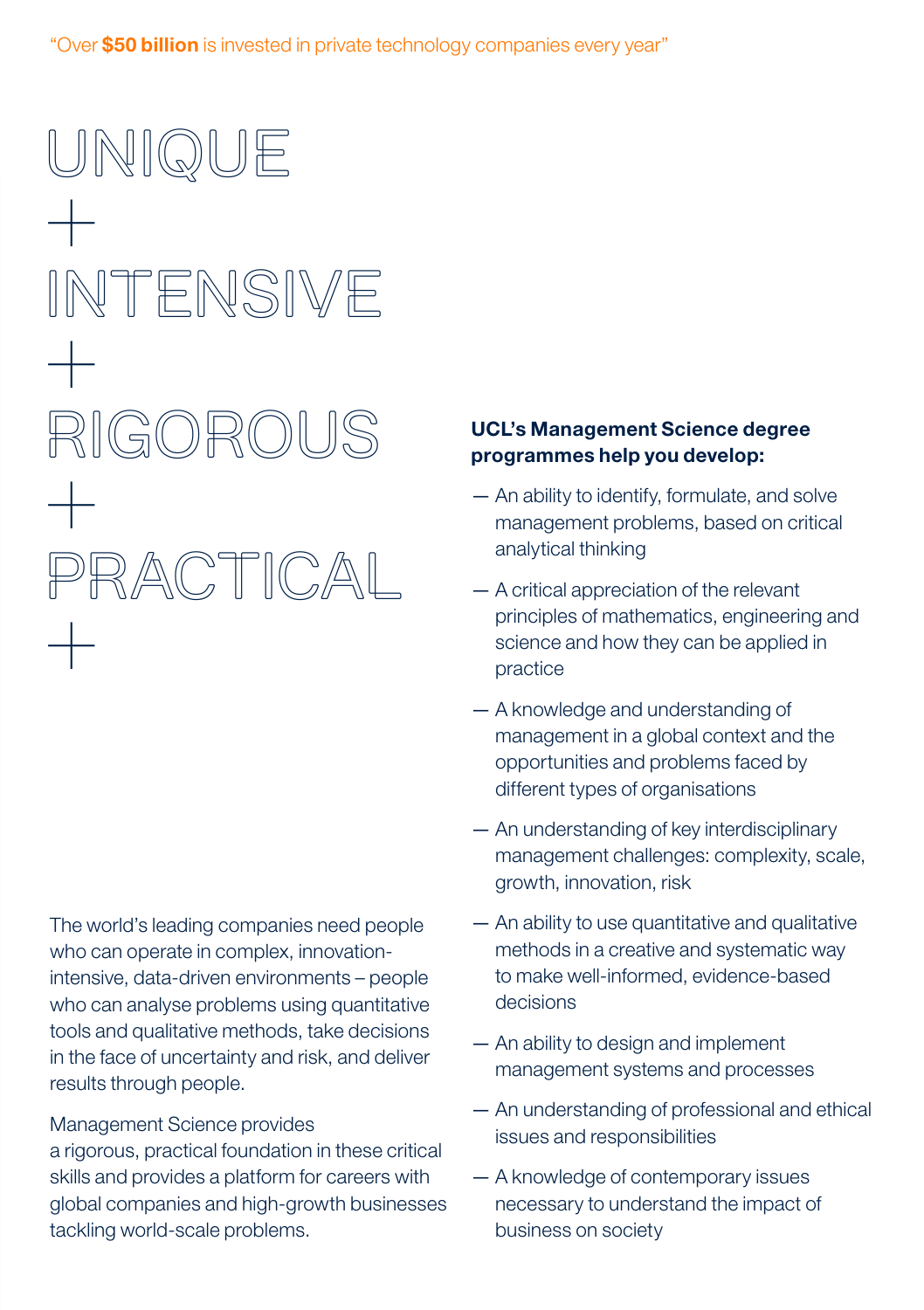Unique  $+$ Intensive  $+$ Rigorous + Practical  $+$ 

The world's leading companies need people who can operate in complex, innovationintensive, data-driven environments – people who can analyse problems using quantitative tools and qualitative methods, take decisions in the face of uncertainty and risk, and deliver results through people.

#### Management Science provides

a rigorous, practical foundation in these critical skills and provides a platform for careers with global companies and high-growth businesses tackling world-scale problems.

#### UCL's Management Science degree programmes help you develop:

- An ability to identify, formulate, and solve management problems, based on critical analytical thinking
- A critical appreciation of the relevant principles of mathematics, engineering and science and how they can be applied in practice
- A knowledge and understanding of management in a global context and the opportunities and problems faced by different types of organisations
- An understanding of key interdisciplinary management challenges: complexity, scale, growth, innovation, risk
- An ability to use quantitative and qualitative methods in a creative and systematic way to make well-informed, evidence-based decisions
- An ability to design and implement management systems and processes
- An understanding of professional and ethical issues and responsibilities
- A knowledge of contemporary issues necessary to understand the impact of business on society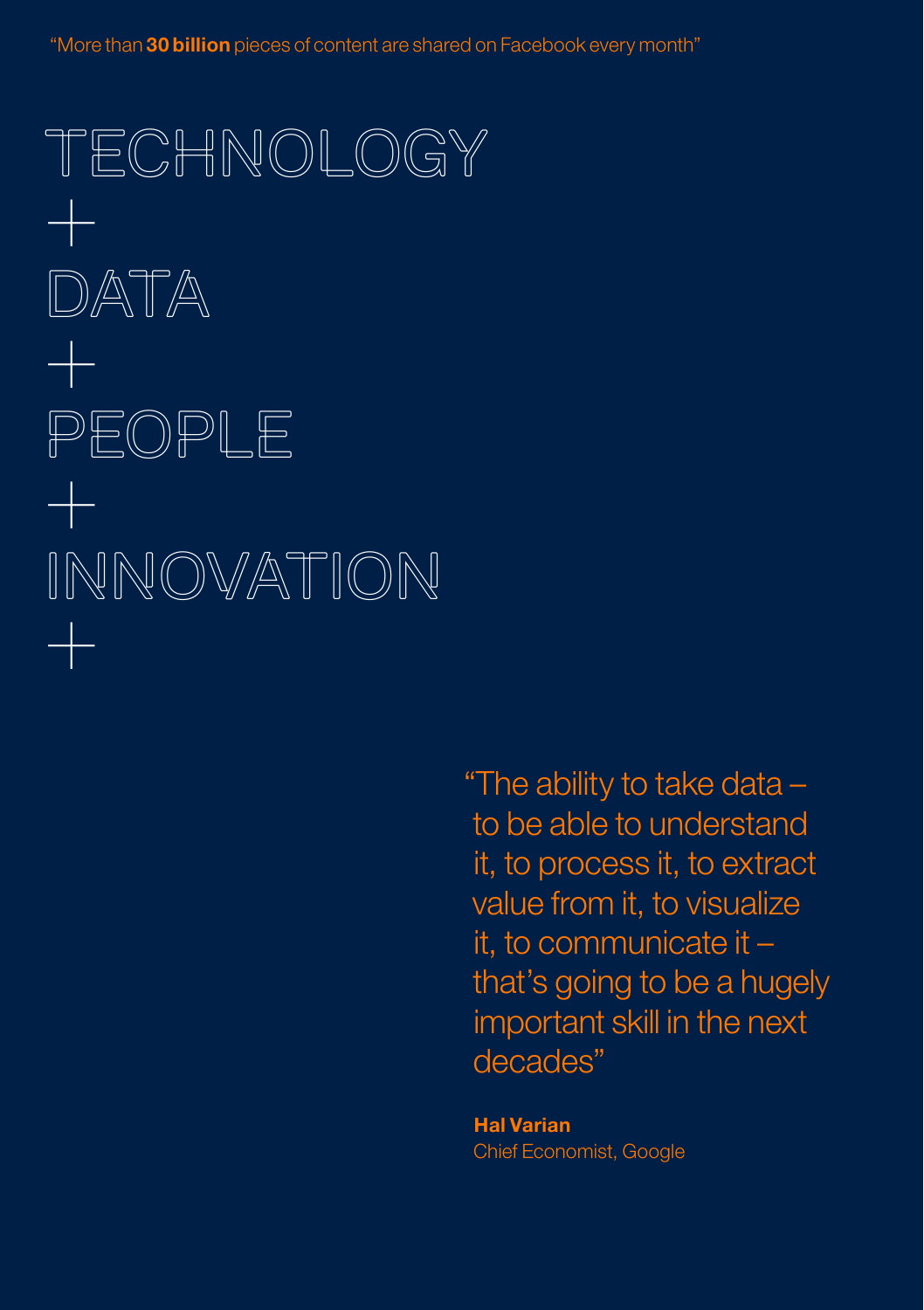"More than 30 billion pieces of content are shared on Facebook every month"

Technology +  $DATA$  $+\,$ People + Innovation +

> "The ability to take data – to be able to understand it, to process it, to extract value from it, to visualize it, to communicate it – that's going to be a hugely important skill in the next decades"

Hal Varian Chief Economist, Google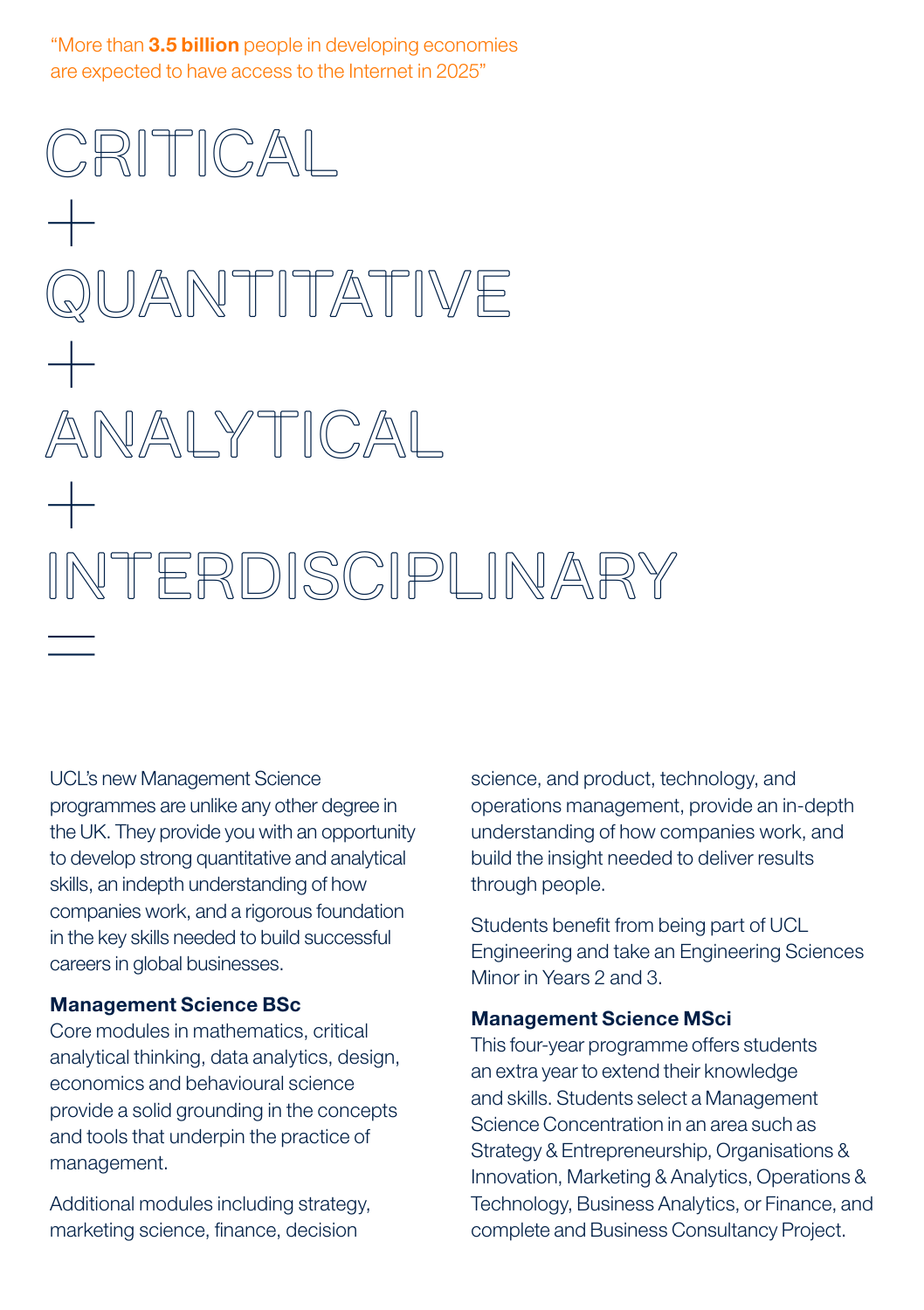"More than 3.5 billion people in developing economies are expected to have access to the Internet in 2025"

CRITICAL  $+$ QUANTITATIVE  $+$ Analytical  $+$ Interdisciplinary =<br>=<br>=

UCL's new Management Science programmes are unlike any other degree in the UK. They provide you with an opportunity to develop strong quantitative and analytical skills, an indepth understanding of how companies work, and a rigorous foundation in the key skills needed to build successful careers in global businesses.

#### Management Science BSc

Core modules in mathematics, critical analytical thinking, data analytics, design, economics and behavioural science provide a solid grounding in the concepts and tools that underpin the practice of management.

Additional modules including strategy, marketing science, finance, decision

science, and product, technology, and operations management, provide an in-depth understanding of how companies work, and build the insight needed to deliver results through people.

Students benefit from being part of UCL Engineering and take an Engineering Sciences Minor in Years 2 and 3.

#### Management Science MSci

This four-year programme offers students an extra year to extend their knowledge and skills. Students select a Management Science Concentration in an area such as Strategy & Entrepreneurship, Organisations & Innovation, Marketing & Analytics, Operations & Technology, Business Analytics, or Finance, and complete and Business Consultancy Project.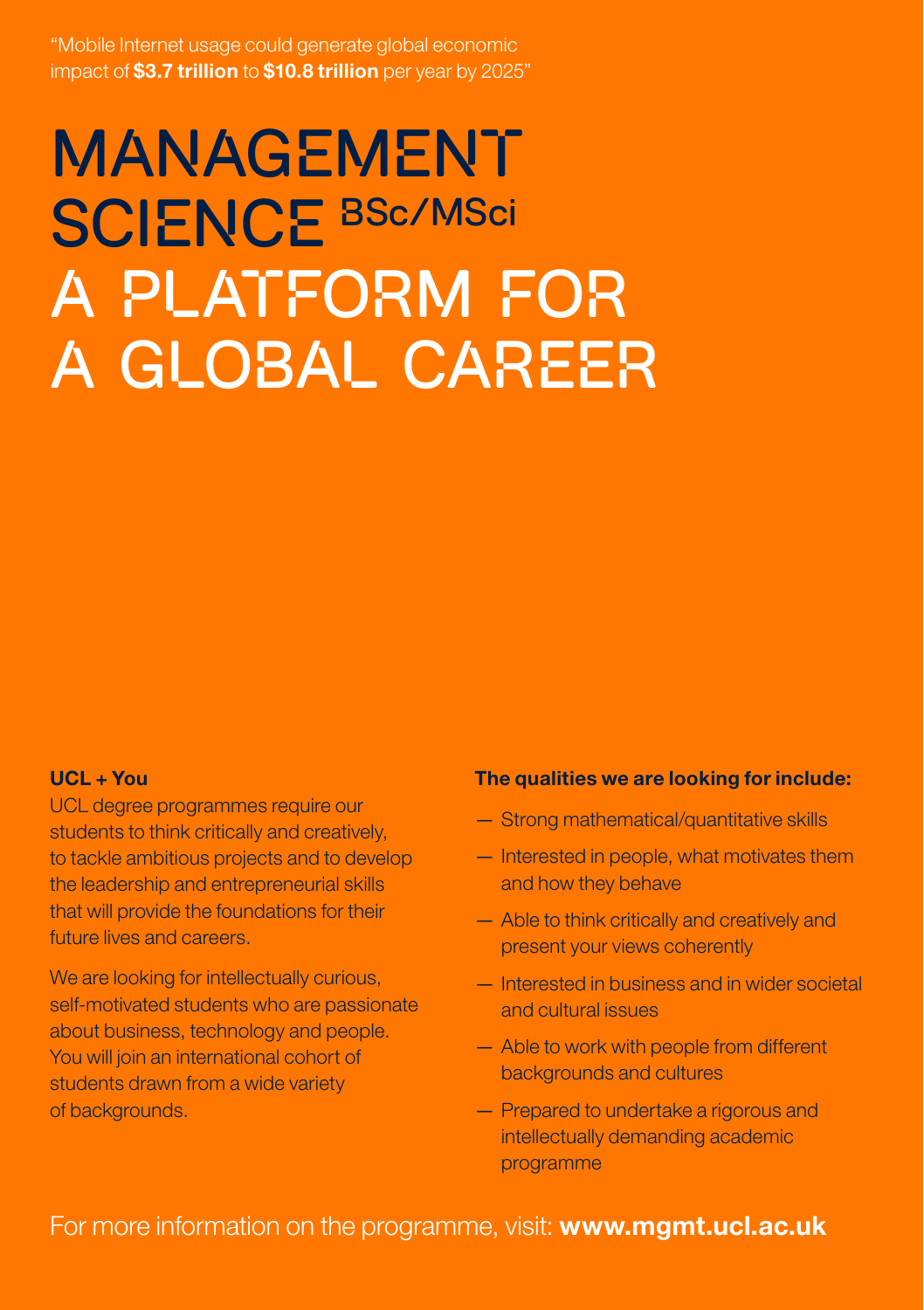"Mobile Internet usage could generate global economic impact of **\$3.7 trillion** to **\$10.8 trillion** per year by 2025"

# **MANAGEMENT** SCIENCE BSc/MSci A platform for a global career

#### $UCL + You$

UCL degree programmes require our students to think critically and creatively, to tackle ambitious projects and to develop the leadership and entrepreneurial skills that will provide the foundations for their future lives and careers.

We are looking for intellectually curious, self-motivated students who are passionate about business, technology and people. You will join an international cohort of students drawn from a wide variety of backgrounds.

#### The qualities we are looking for include:

- Strong mathematical/quantitative skills
- Interested in people, what motivates them and how they behave
- Able to think critically and creatively and present your views coherently
- Interested in business and in wider societal and cultural issues
- Able to work with people from different backgrounds and cultures
- Prepared to undertake a rigorous and intellectually demanding academic programme

## For more information on the programme, visit: www.mgmt.ucl.ac.uk